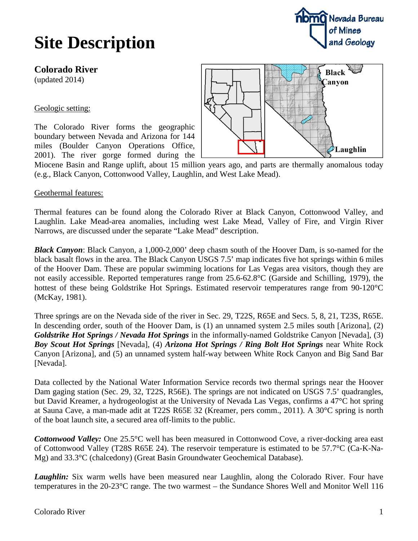## **Site Description**

### **Colorado River**

(updated 2014)

#### Geologic setting:

The Colorado River forms the geographic boundary between Nevada and Arizona for 144 miles (Boulder Canyon Operations Office, 2001). The river gorge formed during the



**nomO** Nevada Bureau of Mines

and Geology

Miocene Basin and Range uplift, about 15 million years ago, and parts are thermally anomalous today (e.g., Black Canyon, Cottonwood Valley, Laughlin, and West Lake Mead).

#### Geothermal features:

Thermal features can be found along the Colorado River at Black Canyon, Cottonwood Valley, and Laughlin. Lake Mead-area anomalies, including west Lake Mead, Valley of Fire, and Virgin River Narrows, are discussed under the separate "Lake Mead" description.

*Black Canyon*: Black Canyon, a 1,000-2,000' deep chasm south of the Hoover Dam, is so-named for the black basalt flows in the area. The Black Canyon USGS 7.5' map indicates five hot springs within 6 miles of the Hoover Dam. These are popular swimming locations for Las Vegas area visitors, though they are not easily accessible. Reported temperatures range from 25.6-62.8°C (Garside and Schilling, 1979), the hottest of these being Goldstrike Hot Springs. Estimated reservoir temperatures range from 90-120<sup>o</sup>C (McKay, 1981).

Three springs are on the Nevada side of the river in Sec. 29, T22S, R65E and Secs. 5, 8, 21, T23S, R65E. In descending order, south of the Hoover Dam, is (1) an unnamed system 2.5 miles south [Arizona], (2) *Goldstrike Hot Springs / Nevada Hot Springs* in the informally-named Goldstrike Canyon [Nevada], (3) *Boy Scout Hot Springs* [Nevada], (4) *Arizona Hot Springs / Ring Bolt Hot Springs* near White Rock Canyon [Arizona], and (5) an unnamed system half-way between White Rock Canyon and Big Sand Bar [Nevada].

Data collected by the National Water Information Service records two thermal springs near the Hoover Dam gaging station (Sec. 29, 32, T22S, R56E). The springs are not indicated on USGS 7.5' quadrangles, but David Kreamer, a hydrogeologist at the University of Nevada Las Vegas, confirms a 47°C hot spring at Sauna Cave, a man-made adit at T22S R65E 32 (Kreamer, pers comm., 2011). A 30°C spring is north of the boat launch site, a secured area off-limits to the public.

*Cottonwood Valley:* One 25.5°C well has been measured in Cottonwood Cove, a river-docking area east of Cottonwood Valley (T28S R65E 24). The reservoir temperature is estimated to be 57.7°C (Ca-K-Na-Mg) and 33.3°C (chalcedony) (Great Basin Groundwater Geochemical Database).

**Laughlin:** Six warm wells have been measured near Laughlin, along the Colorado River. Four have temperatures in the 20-23°C range. The two warmest – the Sundance Shores Well and Monitor Well 116